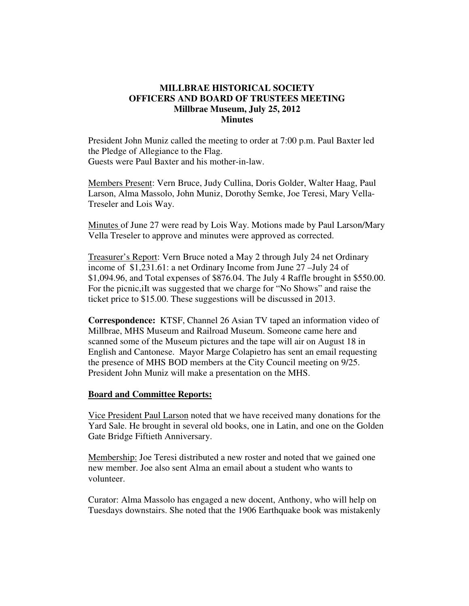## **MILLBRAE HISTORICAL SOCIETY OFFICERS AND BOARD OF TRUSTEES MEETING Millbrae Museum, July 25, 2012 Minutes**

President John Muniz called the meeting to order at 7:00 p.m. Paul Baxter led the Pledge of Allegiance to the Flag. Guests were Paul Baxter and his mother-in-law.

Members Present: Vern Bruce, Judy Cullina, Doris Golder, Walter Haag, Paul Larson, Alma Massolo, John Muniz, Dorothy Semke, Joe Teresi, Mary Vella-Treseler and Lois Way.

Minutes of June 27 were read by Lois Way. Motions made by Paul Larson/Mary Vella Treseler to approve and minutes were approved as corrected.

Treasurer's Report: Vern Bruce noted a May 2 through July 24 net Ordinary income of \$1,231.61: a net Ordinary Income from June 27 –July 24 of \$1,094.96, and Total expenses of \$876.04. The July 4 Raffle brought in \$550.00. For the picnic,iIt was suggested that we charge for "No Shows" and raise the ticket price to \$15.00. These suggestions will be discussed in 2013.

**Correspondence:** KTSF, Channel 26 Asian TV taped an information video of Millbrae, MHS Museum and Railroad Museum. Someone came here and scanned some of the Museum pictures and the tape will air on August 18 in English and Cantonese. Mayor Marge Colapietro has sent an email requesting the presence of MHS BOD members at the City Council meeting on 9/25. President John Muniz will make a presentation on the MHS.

## **Board and Committee Reports:**

Vice President Paul Larson noted that we have received many donations for the Yard Sale. He brought in several old books, one in Latin, and one on the Golden Gate Bridge Fiftieth Anniversary.

Membership: Joe Teresi distributed a new roster and noted that we gained one new member. Joe also sent Alma an email about a student who wants to volunteer.

Curator: Alma Massolo has engaged a new docent, Anthony, who will help on Tuesdays downstairs. She noted that the 1906 Earthquake book was mistakenly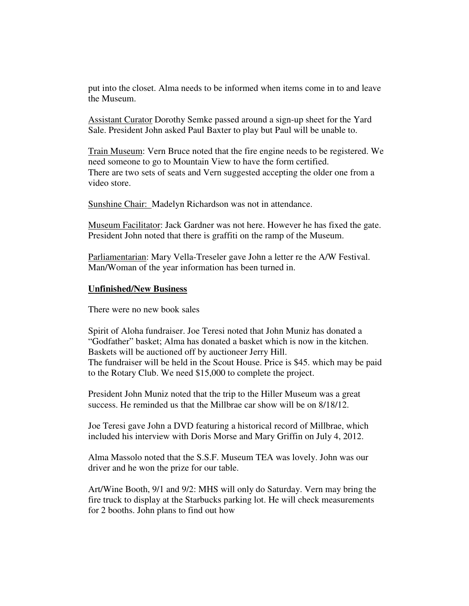put into the closet. Alma needs to be informed when items come in to and leave the Museum.

Assistant Curator Dorothy Semke passed around a sign-up sheet for the Yard Sale. President John asked Paul Baxter to play but Paul will be unable to.

Train Museum: Vern Bruce noted that the fire engine needs to be registered. We need someone to go to Mountain View to have the form certified. There are two sets of seats and Vern suggested accepting the older one from a video store.

Sunshine Chair: Madelyn Richardson was not in attendance.

Museum Facilitator: Jack Gardner was not here. However he has fixed the gate. President John noted that there is graffiti on the ramp of the Museum.

Parliamentarian: Mary Vella-Treseler gave John a letter re the A/W Festival. Man/Woman of the year information has been turned in.

## **Unfinished/New Business**

There were no new book sales

Spirit of Aloha fundraiser. Joe Teresi noted that John Muniz has donated a "Godfather" basket; Alma has donated a basket which is now in the kitchen. Baskets will be auctioned off by auctioneer Jerry Hill. The fundraiser will be held in the Scout House. Price is \$45. which may be paid to the Rotary Club. We need \$15,000 to complete the project.

President John Muniz noted that the trip to the Hiller Museum was a great success. He reminded us that the Millbrae car show will be on  $8/18/12$ .

Joe Teresi gave John a DVD featuring a historical record of Millbrae, which included his interview with Doris Morse and Mary Griffin on July 4, 2012.

Alma Massolo noted that the S.S.F. Museum TEA was lovely. John was our driver and he won the prize for our table.

Art/Wine Booth, 9/1 and 9/2: MHS will only do Saturday. Vern may bring the fire truck to display at the Starbucks parking lot. He will check measurements for 2 booths. John plans to find out how